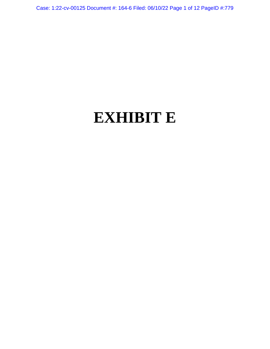Case: 1:22-cv-00125 Document #: 164-6 Filed: 06/10/22 Page 1 of 12 PageID #:779

# **EXHIBIT E**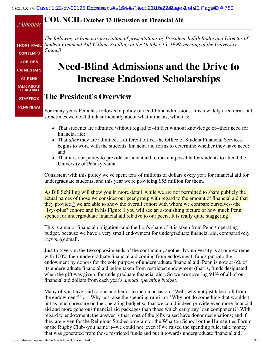### **COUNCIL October 13 Discussion on Financial Aid**

Almanac

**FRONT PAGE CONTENTS JOB-OPS CRIMESTATS AT PENN TALK ABOUT TEACHING STAFFBOX** 

**PENN NEWS** 

*The following is from a transcription of presentations by President Judith Rodin and Director of Student Financial Aid William Schilling at the October 13, 1999, meeting of the University Council.*

# **Need-Blind Admissions and the Drive to Increase Endowed Scholarships**

## **The President's Overview**

For many years Penn has followed a policy of need-blind admissions. It is a widely used term, but sometimes we don't think sufficiently about what it means, which is:

- That students are admitted without regard to--in fact without knowledge of--their need for financial aid;
- That *after* they are admitted, a different office, the Office of Student Financial Services, begins to work with the students' financial aid forms to determine whether they have need; and
- That it is our policy to provide sufficient aid to make it possible for students to attend the University of Pennsylvania.

Consistent with this policy we've spent tens of millions of dollars every year for financial aid for undergraduate students, and this year we're providing \$55 million for them.

As Bill Schilling will show you in more detail, while we are not permitted to share publicly the actual names of those we consider our peer group with regard to the amount of financial aid that they provide[,\\*](#page-3-0) we are able to show the overall cohort with whom we compare ourselves--the "Ivy--plus" cohort; and in his Figure 1 you will see an astonishing picture of how much Penn spends for undergraduate financial aid relative to our peers. It is really quite staggering.

This is a major financial obligation--and the lion's share of it is taken from Penn's operating budget, because we have a very small endowment for undergraduate financial aid, comparatively *extremely* small.

Just to give you the two opposite ends of the continuum, another Ivy university is at one extreme with 100% their undergraduate financial aid coming from endowment, funds put into the endowment by donors for the sole purpose of undergraduate financial aid. Penn is now at 6% of its undergraduate financial aid being taken from restricted endowment (that is, funds designated, when the gift was given, for undergraduate financial aid). So we are covering 94% of all of our financial aid dollars from each year's *annual operating budget.*

Many of you have said to one another or to me on occasion, "Well, why not just take it all from the endowment?" or "Why not raise the spending rule?" or "Why not do something that wouldn't put as much pressure on the operating budget so that we could indeed provide even more financial aid and more generous financial aid packages than those which carry any loan component?" With regard to endowment, the answer is that most of the gifts raised have donor designations; and if they are given for the Religious Studies program or the Wharton School or the Humanities Forum or the Rugby Club--you name it--we could not, even if we raised the spending rule, take money that was generated from those restricted funds and put it towards undergraduate financial aid.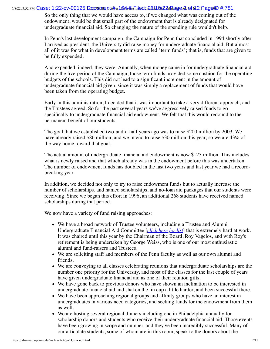#### 6/8/22, 3:52 PM  $\rm Cas$ e: 1:22-cv-00125 Documment(#ber16c4=66|#ilodFina6d40|#22||Ragev3 of No2||PageYD #:781

So the only thing that we would have access to, if we changed what was coming out of the endowment, would be that small part of the endowment that is already designated for undergraduate financial aid. So changing the nature of the spending rule wouldn't help.

In Penn's last development campaign, the Campaign for Penn that concluded in 1994 shortly after I arrived as president, the University did raise money for undergraduate financial aid. But almost all of it was for what in development terms are called "term funds"; that is, funds that are given to be fully expended.

And expended, indeed, they were. Annually, when money came in for undergraduate financial aid during the five-period of the Campaign, those term funds provided some cushion for the operating budgets of the schools. This did not lead to a significant increment in the amount of undergraduate financial aid given, since it was simply a replacement of funds that would have been taken from the operating budget.

Early in this administration, I decided that it was important to take a very different approach, and the Trustees agreed. So for the past several years we've aggressively raised funds to go specifically to undergraduate financial aid endowment. We felt that this would redound to the permanent benefit of our students.

The goal that we established two-and-a-half years ago was to raise \$200 million by 2003. We have already raised \$86 million, and we intend to raise \$30 million this year; so we are 43% of the way home toward that goal.

The actual amount of undergraduate financial aid endowment is now \$123 million. This includes what is newly raised and that which already was in the endowment before this was undertaken. The number of endowment funds has doubled in the last two years and last year we had a recordbreaking year.

In addition, we decided not only to try to raise endowment funds but to actually increase the number of scholarships, and named scholarships, and no-loan aid packages that our students were receiving. Since we began this effort in 1996, an additional 268 students have received named scholarships during that period.

We now have a variety of fund raising approaches:

- We have a broad network of Trustee volunteers, including a Trustee and Alumni Undergraduate Financial Aid Committee [*click [here for list](#page-10-0)*] that is extremely hard at work. It was chaired until this year by the Chairman of the Board, Roy Vagelos, and with Roy's retirement is being undertaken by George Weiss, who is one of our most enthusiastic alumni and fund-raisers and Trustees.
- We are soliciting staff and members of the Penn faculty as well as our own alumni and friends.
- We are conveying to all classes celebrating reunions that undergraduate scholarships are the number one priority for the University, and most of the classes for the last couple of years have given undergraduate financial aid as one of their reunion gifts.
- We have gone back to previous donors who have shown an inclination to be interested in undergraduate financial aid and shaken the tin cup a little harder, and been successful there.
- We have been approaching regional groups and affinity groups who have an interest in undergraduates in various need categories, and seeking funds for the endowment from them as well.
- We are hosting several regional dinners including one in Philadelphia annually for scholarship donors and students who receive their undergraduate financial aid. Those events have been growing in scope and number, and they've been incredibly successful. Many of our articulate students, some of whom are in this room, speak to the donors about the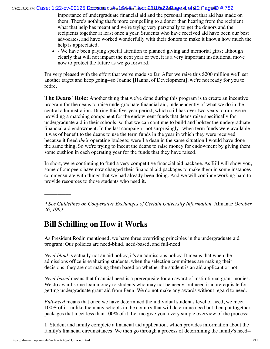#### 6/8/22, 3:52 PM  $\bf C$ ase: 1:22-cv-00125  $\bf D$ @cwmentu#er16#s&s&ilod&inQ&lal@l&2AlRagev4. @fNz2lPag@lD #:782

importance of undergraduate financial aid and the personal impact that aid has made on them. There's nothing that's more compelling to a donor than hearing from the recipient what that help has meant and we're trying very personally to get the donors and the recipients together at least once a year. Students who have received aid have been our best advocates, and have worked wonderfully with their donors to make it known how much the help is appreciated.

• - We have been paying special attention to planned giving and memorial gifts; although clearly that will not impact the next year or two, it is a very important institutional move now to protect the future as we go forward.

I'm very pleased with the effort that we've made so far. After we raise this \$200 million we'll set another target and keep going--so Joanne [Hanna, of Development], we're not ready for you to retire.

**The Deans' Role:** Another thing that we've done during this program is to create an incentive program for the deans to raise undergraduate financial aid, independently of what we do in the central administration. During this five-year period, which still has over two years to run, we're providing a matching component for the endowment funds that deans raise specifically for undergraduate aid in their schools, so that we can continue to build and bolster the undergraduate financial aid endowment. In the last campaign--not surprisingly--when term funds were available, it was of benefit to the deans to use the term funds in the year in which they were received because it freed *their* operating budgets; were I a dean in the same situation I would have done the same thing. So we're trying to incent the deans to raise money for endowment by giving them some cushion in each operating year for the funds that they have raised.

In short, we're continuing to fund a very competitive financial aid package. As Bill will show you, some of our peers have now changed their financial aid packages to make them in some instances commensurate with things that we had already been doing. And we will continue working hard to provide resources to those students who need it.

<span id="page-3-0"></span>\* *See Guidelines on Cooperative Exchanges of Certain University Information,* Almanac *October 26, 1999.*

# **Bill Schilling on How it Works**

As President Rodin mentioned, we have three overriding principles in the undergraduate aid program: Our policies are need-blind, need-based, and full-need.

*Need-blind* is actually not an aid policy, it's an admissions policy. It means that when the admissions office is evaluating students, when the selection committees are making their decisions, they are not making them based on whether the student is an aid applicant or not.

*Need-based* means that financial need is a prerequisite for an award of institutional grant monies. We do award some loan money to students who may not be needy, but need is a prerequisite for getting undergraduate grant aid from Penn. We do not make any awards without regard to need.

*Full-need* means that once we have determined the individual student's level of need, we meet 100% of it--unlike the many schools in the country that will determine need but then put together packages that meet less than 100% of it. Let me give you a very simple overview of the process:

1. Student and family complete a financial aid application, which provides information about the family's financial circumstances. We then go through a process of determining the family's need--

\_\_\_\_\_\_\_\_\_\_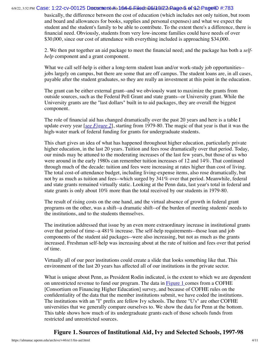#### 6/8/22, 3:52 PM  $\bf C$ ase: 1:22-cv-00125  $\bf D$ @cwmentu#er16#s&s<del>hilo</del>dfina&/a@/22alRagev5. of No21PageYD #:783

basically, the difference between the cost of education (which includes not only tuition, but room and board and allowances for books, supplies and personal expenses) and what we expect the student and the student's family to be able to contribute. To the extent there's a difference, there is financial need. Obviously, students from very low-income families could have needs of over \$30,000, since our cost of attendance with everything included is approaching \$34,000.

2. We then put together an aid package to meet the financial need; and the package has both a *selfhelp* component and a grant component.

What we call self-help is either a long-term student loan and/or work-study job opportunities--jobs largely on campus, but there are some that are off campus. The student loans are, in all cases, payable after the student graduates, so they are really an investment at this point in the education.

The grant can be either external grant--and we obviously want to maximize the grants from outside sources, such as the Federal Pell Grant and state grants--or University grant. While the University grants are the "last dollars" built in to aid packages, they are overall the biggest component.

The role of financial aid has changed dramatically over the past 20 years and here is a table I update every year [*see [Figure 2](#page-5-0)*], starting from 1979-80. The magic of that year is that it was the high-water mark of federal funding for grants for undergraduate students.

This chart gives an idea of what has happened throughout higher education, particularly private higher education, in the last 20 years. Tuition and fees rose dramatically over that period. Today, our minds may be attuned to the moderating increases of the last few years, but those of us who were around in the early 1980s can remember tuition increases of 12 and 14%. That continued through much of the decade: tuition and fees were increasing at rates higher than cost of living. The total cost-of-attendance budget, including living-expense items, also rose dramatically, but not by as much as tuition and fees--which surged by 341% over that period. Meanwhile, federal and state grants remained virtually static. Looking at the Penn data, last year's total in federal and state grants is only about 10% more than the total received by our students in 1979-80.

The result of rising costs on the one hand, and the virtual absence of growth in federal grant programs on the other, was a shift--a dramatic shift--of the burden of meeting students' needs to the institutions, and to the students themselves.

The institution addressed that issue by an even more extraordinary increase in institutional grants over that period of time--a 481% increase. The self-help requirements--those loan and job components of the student aid packages--were also increasing, but not as much as the grants increased. Freshman self-help was increasing about at the rate of tuition and fees over that period of time.

Virtually all of our peer institutions could create a slide that looks something like that. This environment of the last 20 years has affected all of our institutions in the private sector.

What is unique about Penn, as President Rodin indicated, is the extent to which we are dependent on unrestricted revenue to fund our program. The data in  $Figure 1$  comes from a COFHE [Consortium on Financing Higher Education] survey, and because of COFHE rules on the confidentiality of the data that the member institutions submit, we have coded the institutions. The institutions with an "I" prefix are fellow Ivy schools. The three "U's" are other COFHE universities that we generally compare ourselves to. We show the data for Penn at the bottom. This table shows how much of its undergraduate grants each of those schools funds from restricted and unrestricted sources.

#### <span id="page-4-0"></span>**Figure 1. Sources of Institutional Aid, Ivy and Selected Schools, 1997-98**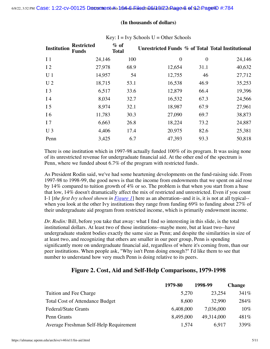#### **(In thousands of dollars)**

| <b>Institution</b> | <b>Restricted</b><br><b>Funds</b> | $%$ of<br><b>Total</b> | Unrestricted Funds % of Total Total Institutional |                  |        |
|--------------------|-----------------------------------|------------------------|---------------------------------------------------|------------------|--------|
| I <sub>1</sub>     | 24,146                            | 100                    | $\overline{0}$                                    | $\boldsymbol{0}$ | 24,146 |
| 12                 | 27,978                            | 68.9                   | 12,654                                            | 31.1             | 40,632 |
| U <sub>1</sub>     | 14,957                            | 54                     | 12,755                                            | 46               | 27,712 |
| U <sub>2</sub>     | 18,715                            | 53.1                   | 16,538                                            | 46.9             | 35,253 |
| I <sub>3</sub>     | 6,517                             | 33.6                   | 12,879                                            | 66.4             | 19,396 |
| I 4                | 8,034                             | 32.7                   | 16,532                                            | 67.3             | 24,566 |
| I <sub>5</sub>     | 8,974                             | 32.1                   | 18,987                                            | 67.9             | 27,961 |
| I 6                | 11,783                            | 30.3                   | 27,090                                            | 69.7             | 38,873 |
| I <sub>7</sub>     | 6,663                             | 26.8                   | 18,224                                            | 73.2             | 24,887 |
| $U_3$              | 4,406                             | 17.4                   | 20,975                                            | 82.6             | 25,381 |
| Penn               | 3,425                             | 6.7                    | 47,393                                            | 93.3             | 50,818 |

#### Key:  $I = IvV$  Schools  $U =$  Other Schools

There is one institution which in 1997-98 actually funded 100% of its program. It was using none of its unrestricted revenue for undergraduate financial aid. At the other end of the spectrum is Penn, where we funded about 6.7% of the program with restricted funds.

As President Rodin said, we've had some heartening developments on the fund-raising side. From 1997-98 to 1998-99, the good news is that the income from endowments that we spent on aid rose by 14% compared to tuition growth of 4% or so. The problem is that when you start from a base that low, 14% doesn't dramatically affect the mix of restricted and unrestricted. Even if you count I-1 [*the first Ivy school shown in [Figure](#page-4-0) 1*] here as an aberration--and it is, it is not at all typical- when you look at the other Ivy institutions they range from funding 69% to funding about 27% of their undergraduate aid program from restricted income, which is primarily endowment income.

*Dr. Rodin:* Bill, before you take that away: what I find so interesting in this slide, is the total institutional dollars. At least two of those institutions--maybe more, but at least two--have undergraduate student bodies exactly the same size as Penn; and despite the similarities in size of at least two, and recognizing that others are smaller in our peer group, Penn is spending significantly more on undergraduate financial aid, regardless of where it's coming from, than our peer institutions. When people ask, "Why isn't Penn doing enough?" I'd like them to see that number to understand how very much Penn is doing relative to its peers.

#### **Figure 2. Cost, Aid and Self-Help Comparisons, 1979-1998**

<span id="page-5-0"></span>

|                                        | 1979-80   | 1998-99    | <b>Change</b> |
|----------------------------------------|-----------|------------|---------------|
| Tuition and Fee Charge                 | 5,270     | 23,254     | 341\%         |
| <b>Total Cost of Attendance Budget</b> | 8,600     | 32,990     | 284%          |
| <b>Federal/State Grants</b>            | 6,408,000 | 7,036,000  | $10\%$        |
| Penn Grants                            | 8,495,000 | 49,314,000 | 481%          |
| Average Freshman Self-Help Requirement | 1,574     | 6,917      | 339%          |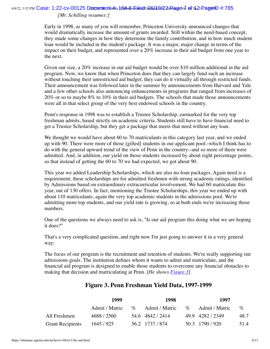#### 6/8/22, 3:52 PM  $\rm Cas$ e: 1:22-cv-00125 Documment(#ber16c4=a6\_hilodrinG6/10/22alRagevd. of Nc21PageYD #:785

#### *[Mr. Schilling resumes:]*

Early in 1998, as many of you will remember, Princeton University announced changes that would dramatically increase the amount of grants awarded. Still within the need-based concept, they made some changes in how they determine the family contribution, and in how much student loan would be included in the student's package. It was a major, major change in terms of the impact on their budget, and represented over a 20% increase in their aid budget from one year to the next.

Given our size, a 20% increase in our aid budget would be over \$10 million additional in the aid program. Now, we know that when Princeton does that they can largely fund such an increase without touching their unrestricted aid budget; they can do it virtually all through restricted funds. Their announcement was followed later in the summer by announcements from Harvard and Yale and a few other schools also announcing enhancements in programs that ranged from increases of 20% or so to maybe 8% to 10% in their aid budgets. The schools that made those announcements were all in that select group of the very best endowed schools in the country.

Penn's response in 1998 was to establish a Trustee Scholarship, earmarked for the very top freshman admits, based strictly on academic criteria. Students still have to have financial need to get a Trustee Scholarship, but they get a package that meets that need without any loan.

We thought we would have about 60 to 70 matriculants in this category last year, and we ended up with 90. There were more of those [gifted] students in our applicant pool--which I think has to do with the general upward trend of the view of Penn in the country--and so more of them were admitted. And, in addition, our yield on those students increased by about eight percentage points, so that instead of getting the 60 to 70 we had expected, we got about 90.

This year we added Leadership Scholarships, which are also no-loan packages. Again need is a requirement; these scholarships are for admitted freshmen with strong academic ratings, identified by Admissions based on extraordinary extracurricular involvement. We had 60 matriculate this year, out of 130 offers. In fact, mentioning the Trustee Scholarships, this year we ended up with about 110 matriculants, again the very top academic students in the admissions pool. We're admitting more top students, and our yield rate is growing, so at both ends we're increasing those numbers.

One of the questions we always need to ask is, "Is our aid program this doing what we are hoping it does?"

That's a very complicated question, and right now I'm just going to answer it in a very general way:

The focus of our program is the recruitment and retention of students. We're really supporting our admissions goals. The institution defines whom it wants to admit and matriculate, and the financial aid program is designed to enable those students to overcome any financial obstacles to making that decision and matriculating at Penn. [*He shows [Figure](#page-6-0) 3*]

#### **Figure 3. Penn Freshman Yield Data, 1997-1999**

<span id="page-6-0"></span>

|                         | 1999           |      | 1998             |      | 1997             |      |
|-------------------------|----------------|------|------------------|------|------------------|------|
|                         | Admit / Matric | $\%$ | Admit / Matric   | $\%$ | Admit / Matric   | $\%$ |
| All Freshmen            | 4688 / 2560    |      | 54.6 4842 / 2414 |      | 49.9 4282 / 2349 | 48.7 |
| <b>Grant Recipients</b> | 1645/925       |      | 56.2 1737 / 874  |      | 50.3 1790/920    | 51.4 |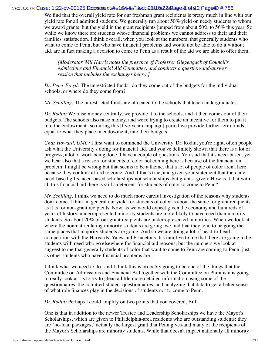#### 6/8/22, 3:52 PM  $\bf C$ ase: 1:22-cv-00125  $\bf D$ @cwmentu#er16#s&s<del>hilo</del>dFina&/a@/22alRagev& @f No21Pag@ID #:786

We find that the overall yield rate for our freshman grant recipients is pretty much in line with our yield rate for all admitted students. We generally run about 50% yield on needy students to whom we award grants, but the yield in the grant recipients jumped from about 50% to 56% this year. So while we know there are students whose financial problems we cannot address to their and their families' satisfaction, I think overall, when you look at the numbers, that generally students who want to come to Penn, but who have financial problems and would not be able to do it without aid, are in fact making a decision to come to Penn as a result of the aid we are able to offer them.

*[Moderator Will Harris notes the presence of Professor Giegengack of Council's Admissions and Financial Aid Committee, and conducts a question-and-answer session that includes the exchanges below.]*

*Dr. Peter Freyd:* The unrestricted funds--do they come out of the budgets for the individual schools, or where do they come from?

*Mr. Schilling:* The unrestricted funds are allocated to the schools that teach undergraduates.

*Dr. Rodin:* We raise money centrally, we provide it to the schools, and it then comes out of their budgets. The schools also raise money, and we're trying to create an incentive for them to put it into the endowment--so during this [five-year campaign] period we provide further term funds, equal to what they place in endowment, into their budgets.

*Chaz Howard, UMC:* I first want to commend the University. Dr. Rodin, you're right, often people ask what the University's doing for financial aid, and you've definitely shown that there is a lot of progress, a lot of work being done. I have a couple of questions. You said that it's need-based, yet we hear also that a reason for students of color not coming here is because of the financial aid problem. I might be wrong but that seems to be a theme, that a lot of people of color aren't here because they couldn't afford to come. And if that's true, and given your statement that there are need-based gifts, need-based scholarships-not scholarships, but grants--given: How is it that with all this financial aid there is still a deterrent for students of color to come to Penn?

*Mr. Schilling:* I think we need to do much more careful investigation of the reasons why students don't come. I think in general our yield for students of color is about the same for grant recipients as it is for non-grant recipients. Now, as we would expect given the economy and hundreds of years of history, underrepresented minority students are more likely to have need than majority students. So about 20% of our grant recipients are underrepresented minorities. When we look at where the nonmatriculating minority students are going, we find that they tend to be going the same places that majority students are going. And so we are doing a lot of head-to-head competition with the Harvards, Yales and Princetons. It's intuitive to me that there are going to be students with need who go elsewhere for financial aid reasons; but the numbers we look at suggest to me that generally students of color that want to come to Penn are coming to Penn, just as other students who have financial problems are.

I think what we need to do--and I think this is probably going to be one of the things that the Committee on Admissions and Financial Aid together with the Committee on Pluralism is going to really look at--is to try to glean a little more detailed information using some of the questionnaires, the admitted-student questionnaires, and analyzing that data to get a better sense of what role finances play in the decisions of students not to come to Penn.

*Dr. Rodin:* Perhaps I could amplify on two points that you covered, Bill.

One is that in addition to the newer Trustee and Leadership Scholarships we have the Mayor's Scholarships, which are given to Philadelphia-area residents who are outstanding students; they are "no-loan packages," actually the largest grant that Penn gives-and many of the recipients of the Mayor's Scholarships are minority students. While that doesn't impact nationally all minority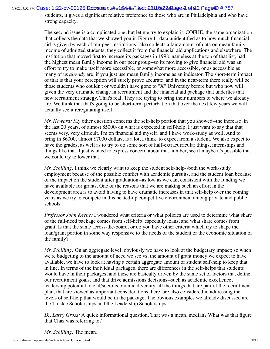6/8/22, 3:52 PM  $\bf C$ ase: 1:22-cv-00125  $\bf D$ @cwmentu#er16#s&s&ilod&inQ&lal@l&2AlRagev9. @f Nx2lPag@ID #:787

students, it gives a significant relative preference to those who are in Philadelphia and who have strong capacity.

The second issue is a complicated one, but let me try to explain it. COFHE, the same organization that collects the data that we showed you in Figure 1--data unidentified as to how much financial aid is given by each of our peer institutions--also collects a fair amount of data on mean family income of admitted students; they collect it from the financial aid applications and elsewhere. The institution that moved first to increase its packages in 1998, nameless at the top of that list, had the highest mean family income in our peer group--so its moving to give financial aid was an effort to try to make itself more accessible, or somewhat more accessible, or as accessible as many of us *already* are, if you just use mean family income as an indicator. The short-term impact of that is that your perception will surely prove accurate, and in the near-term there really will be those students who couldn't or wouldn't have gone to "X" University before but who now will, given the very dramatic change in recruitment and the financial aid package that underlies that new recruitment strategy. That's real. They are trying to bring their numbers to where we already are. We think that that's going to be short-term perturbation that over the next few years we will actually see it reregulating itself.

*Mr. Howard:* My other question concerns the self-help portion that you showed--the increase, in the last 20 years, of almost \$5000--in what is expected in self-help. I just want to say that that seems very, very difficult. I'm on financial aid myself, and I have work-study as well. And to bring in \$6000, almost \$7000 dollars, is a lot, I think, to expect from a student. We also expect to have the grades, as well as to try to do some sort of half-extracurricular things, internships and things like that. I just wanted to express concern about that number, see if maybe it's possible that we could try to lower that.

*Mr. Schilling:* I think we clearly want to keep the student self-help--both the work-study employment because of the possible conflict with academic pursuits, and the student loan because of the impact on the student after graduation--as low as we can, consistent with the funding we have available for grants. One of the reasons that we are making such an effort in the development area is to avoid having to have dramatic increases in that self-help over the coming years as we try to compete in this heated-up competitive environment among private and public schools.

*Professor John Keene:* I wondered what criteria or what policies are used to determine what share of the full-need package comes from self-help, especially loans, and what share comes from grant. Is that the same across-the-board, or do you have other criteria which try to shape the loan/grant portion in some way responsive to the needs of the student or the economic situation of the family?

*Mr. Schilling:* On an aggregate level, obviously we have to look at the budgetary impact; so when we're budgeting to the amount of need we see vs. the amount of grant money we expect to have available, we have to look at having a certain aggregate amount of student self-help to keep that in line. In terms of the individual packages, there are differences in the self-helps that students would have in their packages, and these are basically driven by the same set of factors that define our recruitment goals, and that drive admissions decisions--such as academic excellence, leadership potential, racial/socio-economic diversity, all the things that are part of the recruitment plan, that are viewed as important considerations there, are also considered in addressing the levels of self-help that would be in the package. The obvious examples we already discussed are the Trustee Scholarships and the Leadership Scholarships.

*Dr. Larry Gross:* A quick informational question. That was a mean, median? What was that figure that Chaz was referring to?

*Mr. Schilling:* The mean.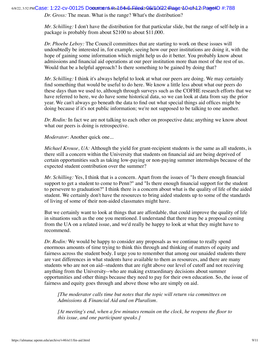6/8/22, 3:52 PM $\bf C$ aS $\bf e$ : 1:22-cv-00125 Documment # $\bf b$ ed: 64+6 Filed: Fu6ALM22ARage v $\bf b$ 04ofv $\bf d$ 21 PaggeID #:788

*Dr. Gross:* The mean. What is the range? What's the distribution?

*Mr. Schilling:* I don't have the distribution for that particular slide, but the range of self-help in a package is probably from about \$2100 to about \$11,000.

*Dr. Phoebe Leboy:* The Council committees that are starting to work on these issues will undoubtedly be interested in, for example, seeing how our peer institutions are doing it, with the hope of gaining some information which might help us do it better. You probably know about admissions and financial aid operations at our peer institution more than most of the rest of us. Would that be a helpful approach? Is there something to be gained by doing that?

*Mr. Schilling:* I think it's always helpful to look at what our peers are doing. We may certainly find something that would be useful to do here. We know a little less about what our peers do these days than we used to, although through surveys such as the COFHE research efforts that we have referred to here, we do have some historical data, so we can look at data from say the prior year. We can't always go beneath the data to find out what special things aid offices might be doing because if it's not public information; we're not supposed to be talking to one another.

*Dr. Rodin:* In fact we are not talking to each other on prospective data; anything we know about what our peers is doing is retrospective.

*Moderator*: Another quick one...

*Michael Krouse, UA:* Although the yield for grant-recipient students is the same as all students, is there still a concern within the University that students on financial aid are being deprived of certain opportunities such as taking low-paying or non-paying summer internships because of the expected student contribution over the summer?

*Mr. Schilling:* Yes, I think that is a concern. Apart from the issues of "Is there enough financial support to get a student to come to Penn?" and "Is there enough financial support for the student to persevere to graduation?" I think there is a concern about what is the quality of life of the aided student. We certainly don't have the resources to bring aided students up to some of the standards of living of some of their non-aided classmates might have.

But we certainly want to look at things that are affordable, that could improve the quality of life in situations such as the one you mentioned. I understand that there may be a proposal coming from the UA on a related issue, and we'd really be happy to look at what they might have to recommend.

*Dr. Rodin:* We would be happy to consider any proposals as we continue to really spend enormous amounts of time trying to think this through and thinking of matters of equity and fairness across the student body. I urge you to remember that among our unaided students there are vast differences in what students have available to them as resources, and there are many students who are not on aid--students that are right above our level of cutoff and not receiving anything from the University--who are making extraordinary decisions about summer opportunities and other things because they need to pay for their own education. So, the issue of fairness and equity goes through and above those who are simply on aid.

*[The moderator calls time but notes that the topic will return via committees on Admissions & Financial Aid and on Pluralism.*

*[At meeting's end, when a few minutes remain on the clock, he reopens the floor to this issue, and one participant speaks.]*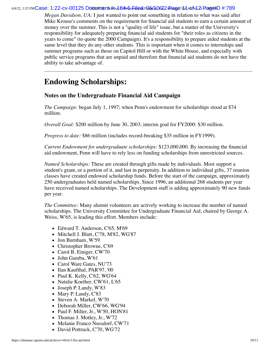#### 6/8/22, 3:52 PM $\bf C$ aS $\bf e$ : 1:22-cv-00125 Documment # $\bf b$ ed: 64+6 Filed: Fu6ALM22ARage v $\bf d$ 140 $\bf w$ l $\bf d$ 21 PaggeID #:789

*Megan Davidson, UA:* I just wanted to point out something in relation to what was said after Mike Krouse's comments on the requirement for financial aid students to earn a certain amount of money over the summer. This is not a "quality of life" issue, but a matter of the University's responsibility for adequately preparing financial aid students for "their roles as citizens in the years to come" (to quote the 2000 Campaign). It's a responsibility to prepare aided students at the same level that they do any other students. This is important when it comes to internships and summer programs such as those on Capitol Hill or with the White House, and especially with public service programs that are unpaid and therefore that financial aid students do not have the ability to take advantage of.

# <span id="page-10-0"></span>**Endowing Scholarships:**

#### **Notes on the Undergraduate Financial Aid Campaign**

*The Campaign:* began July 1, 1997; when Penn's endowment for scholarships stood at \$74 million.

*Overall Goal:* \$200 million by June 30, 2003; interim goal for FY2000: \$30 million.

*Progress to date:* \$86 million (includes record-breaking \$35 million in FY1999).

*Current Endowment for undergraduate scholarships:* \$123,000,000. By increasing the financial aid endowment, Penn will have to rely less on funding scholarships from unrestricted sources.

*Named Scholarships:* These are created through gifts made by individuals. Most support a student's grant, or a portion of it, and last in perpetuity. In addition to individual gifts, 37 reunion classes have created endowed scholarship funds. Before the start of the campaign, approximately 250 undergraduates held named scholarships. Since 1996, an additional 268 students per year have received named scholarships. The Development staff is adding approximately 90 new funds per year.

*The Committee:* Many alumni volunteers are actively working to increase the number of named scholarships. The University Committee for Undergraduate Financial Aid, chaired by George A. Weiss, W'65, is leading this effort. Members include:

- Edward T. Anderson, C'65, M'69
- Mitchell J. Blutt, C'78, M'82, WG'87
- Jon Burnham, W'59
- Christopher Browne, C'69
- Carol B. Einiger, CW'70
- John Gamba, W'61
- Carol Ware Gates, NU'73
- Ilan Kaufthal, PAR'97, '00
- Paul K. Kelly,  $C'62$ , WG'64
- Natalie Koether, CW'61, L'65
- Joseph P. Landy, W'83
- Mary P. Landy, C'83
- Steven A. Markel, W'70
- Deborah Miller, CW'66, WG'94
- Paul F. Miller, Jr., W'50, HON'81
- Thomas J. Motley, Jr., W'72
- Melanie Franco Nussdorf, CW'71
- David Pottruck, C'70, WG'72